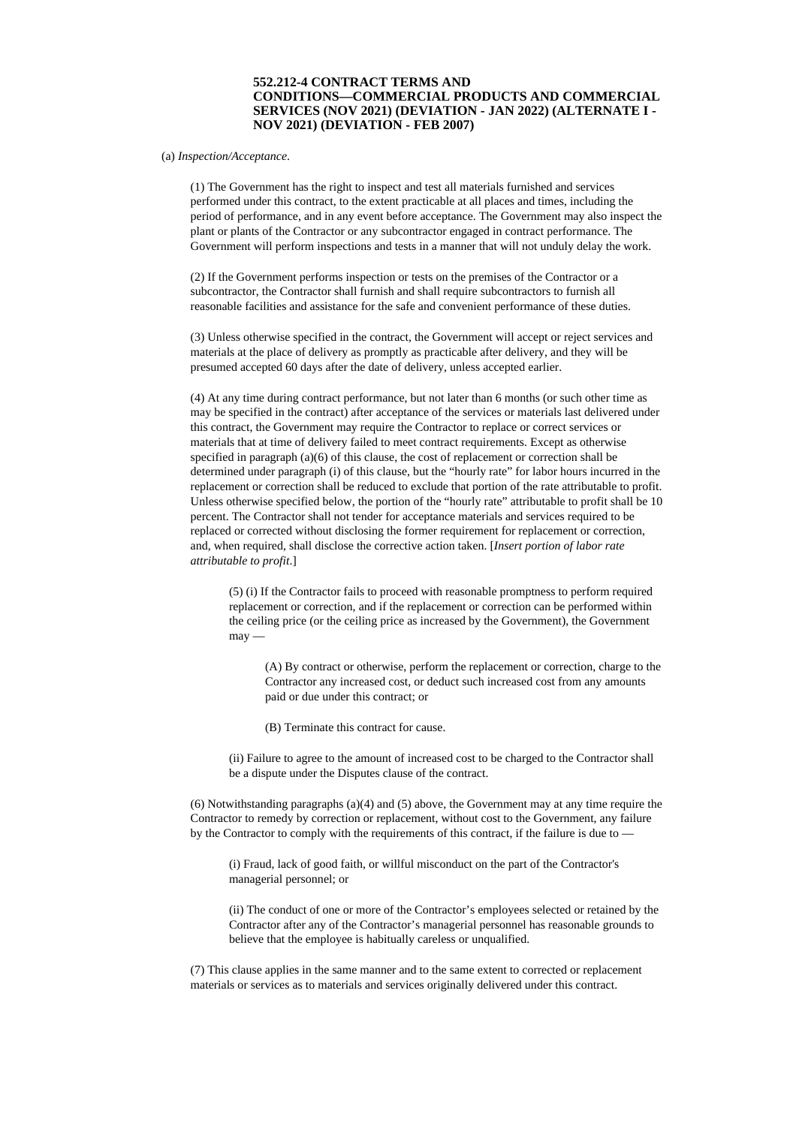# **552.212-4 CONTRACT TERMS AND CONDITIONS—COMMERCIAL PRODUCTS AND COMMERCIAL SERVICES (NOV 2021) (DEVIATION - JAN 2022) (ALTERNATE I - NOV 2021) (DEVIATION - FEB 2007)**

### (a) *Inspection/Acceptance*.

(1) The Government has the right to inspect and test all materials furnished and services performed under this contract, to the extent practicable at all places and times, including the period of performance, and in any event before acceptance. The Government may also inspect the plant or plants of the Contractor or any subcontractor engaged in contract performance. The Government will perform inspections and tests in a manner that will not unduly delay the work.

(2) If the Government performs inspection or tests on the premises of the Contractor or a subcontractor, the Contractor shall furnish and shall require subcontractors to furnish all reasonable facilities and assistance for the safe and convenient performance of these duties.

(3) Unless otherwise specified in the contract, the Government will accept or reject services and materials at the place of delivery as promptly as practicable after delivery, and they will be presumed accepted 60 days after the date of delivery, unless accepted earlier.

(4) At any time during contract performance, but not later than 6 months (or such other time as may be specified in the contract) after acceptance of the services or materials last delivered under this contract, the Government may require the Contractor to replace or correct services or materials that at time of delivery failed to meet contract requirements. Except as otherwise specified in paragraph (a)(6) of this clause, the cost of replacement or correction shall be determined under paragraph (i) of this clause, but the "hourly rate" for labor hours incurred in the replacement or correction shall be reduced to exclude that portion of the rate attributable to profit. Unless otherwise specified below, the portion of the "hourly rate" attributable to profit shall be 10 percent. The Contractor shall not tender for acceptance materials and services required to be replaced or corrected without disclosing the former requirement for replacement or correction, and, when required, shall disclose the corrective action taken. [*Insert portion of labor rate attributable to profit*.]

(5) (i) If the Contractor fails to proceed with reasonable promptness to perform required replacement or correction, and if the replacement or correction can be performed within the ceiling price (or the ceiling price as increased by the Government), the Government may —

(A) By contract or otherwise, perform the replacement or correction, charge to the Contractor any increased cost, or deduct such increased cost from any amounts paid or due under this contract; or

(B) Terminate this contract for cause.

(ii) Failure to agree to the amount of increased cost to be charged to the Contractor shall be a dispute under the Disputes clause of the contract.

 $(6)$  Notwithstanding paragraphs  $(a)(4)$  and  $(5)$  above, the Government may at any time require the Contractor to remedy by correction or replacement, without cost to the Government, any failure by the Contractor to comply with the requirements of this contract, if the failure is due to —

(i) Fraud, lack of good faith, or willful misconduct on the part of the Contractor's managerial personnel; or

(ii) The conduct of one or more of the Contractor's employees selected or retained by the Contractor after any of the Contractor's managerial personnel has reasonable grounds to believe that the employee is habitually careless or unqualified.

(7) This clause applies in the same manner and to the same extent to corrected or replacement materials or services as to materials and services originally delivered under this contract.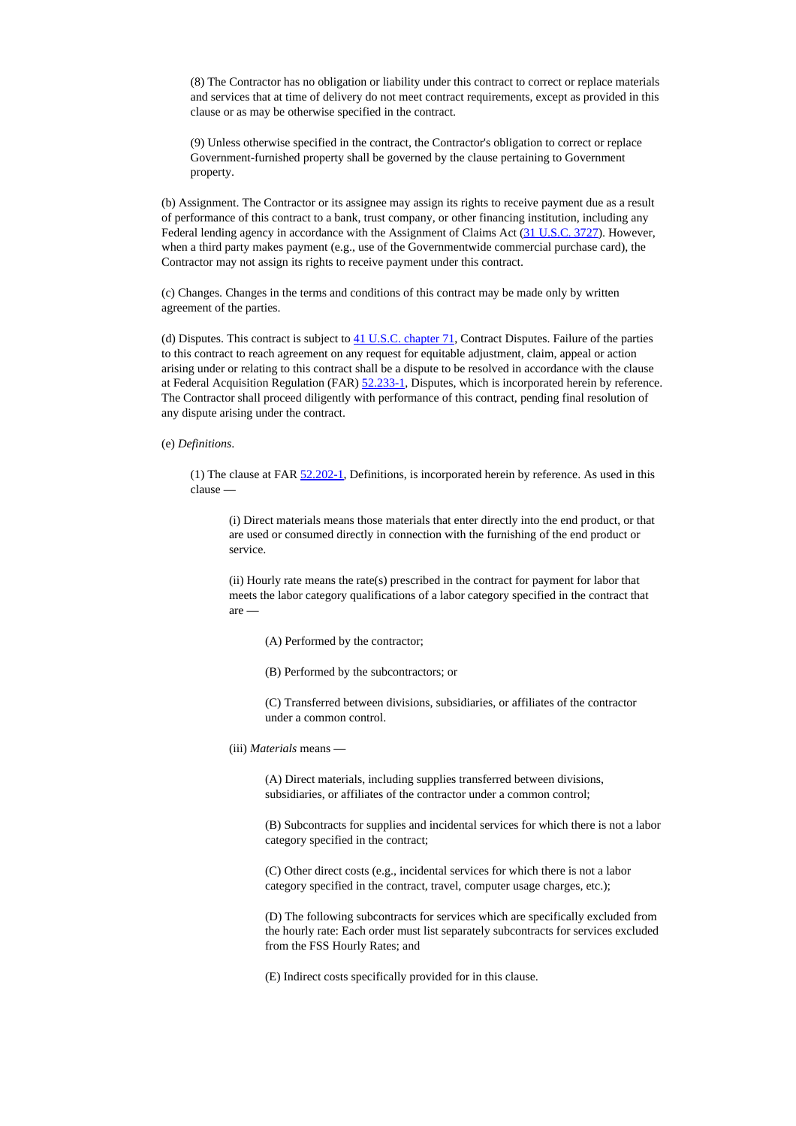(8) The Contractor has no obligation or liability under this contract to correct or replace materials and services that at time of delivery do not meet contract requirements, except as provided in this clause or as may be otherwise specified in the contract.

(9) Unless otherwise specified in the contract, the Contractor's obligation to correct or replace Government-furnished property shall be governed by the clause pertaining to Government property.

(b) Assignment. The Contractor or its assignee may assign its rights to receive payment due as a result of performance of this contract to a bank, trust company, or other financing institution, including any Federal lending agency in accordance with the Assignment of Claims Act (31 [U.S.C.](http://uscode.house.gov/uscode-cgi/fastweb.exe?getdoc+uscview+t29t32+1665+30++%2831%29%20%20AND%20%28%2831%29%20ADJ%20USC%29%3ACITE%20%20%20%20%20%20%20%20%20) 3727). However, when a third party makes payment (e.g., use of the Governmentwide commercial purchase card), the Contractor may not assign its rights to receive payment under this contract.

(c) Changes. Changes in the terms and conditions of this contract may be made only by written agreement of the parties.

(d) Disputes. This contract is subject to  $41$  U.S.C. [chapter](http://uscode.house.gov/) 71, Contract Disputes. Failure of the parties to this contract to reach agreement on any request for equitable adjustment, claim, appeal or action arising under or relating to this contract shall be a dispute to be resolved in accordance with the clause at Federal Acquisition Regulation (FAR) [52.233-1,](https://www.acquisition.gov/far/html/52_233_240.html#wp1113304) Disputes, which is incorporated herein by reference. The Contractor shall proceed diligently with performance of this contract, pending final resolution of any dispute arising under the contract.

### (e) *Definitions*.

(1) The clause at FAR [52.202-1,](https://www.acquisition.gov/far/html/52_200_206.html#wp1137572) Definitions, is incorporated herein by reference. As used in this clause —

(i) Direct materials means those materials that enter directly into the end product, or that are used or consumed directly in connection with the furnishing of the end product or service.

 $(iii)$  Hourly rate means the rate(s) prescribed in the contract for payment for labor that meets the labor category qualifications of a labor category specified in the contract that are —

(A) Performed by the contractor;

(B) Performed by the subcontractors; or

(C) Transferred between divisions, subsidiaries, or affiliates of the contractor under a common control.

(iii) *Materials* means —

(A) Direct materials, including supplies transferred between divisions, subsidiaries, or affiliates of the contractor under a common control;

(B) Subcontracts for supplies and incidental services for which there is not a labor category specified in the contract;

(C) Other direct costs (e.g., incidental services for which there is not a labor category specified in the contract, travel, computer usage charges, etc.);

(D) The following subcontracts for services which are specifically excluded from the hourly rate: Each order must list separately subcontracts for services excluded from the FSS Hourly Rates; and

(E) Indirect costs specifically provided for in this clause.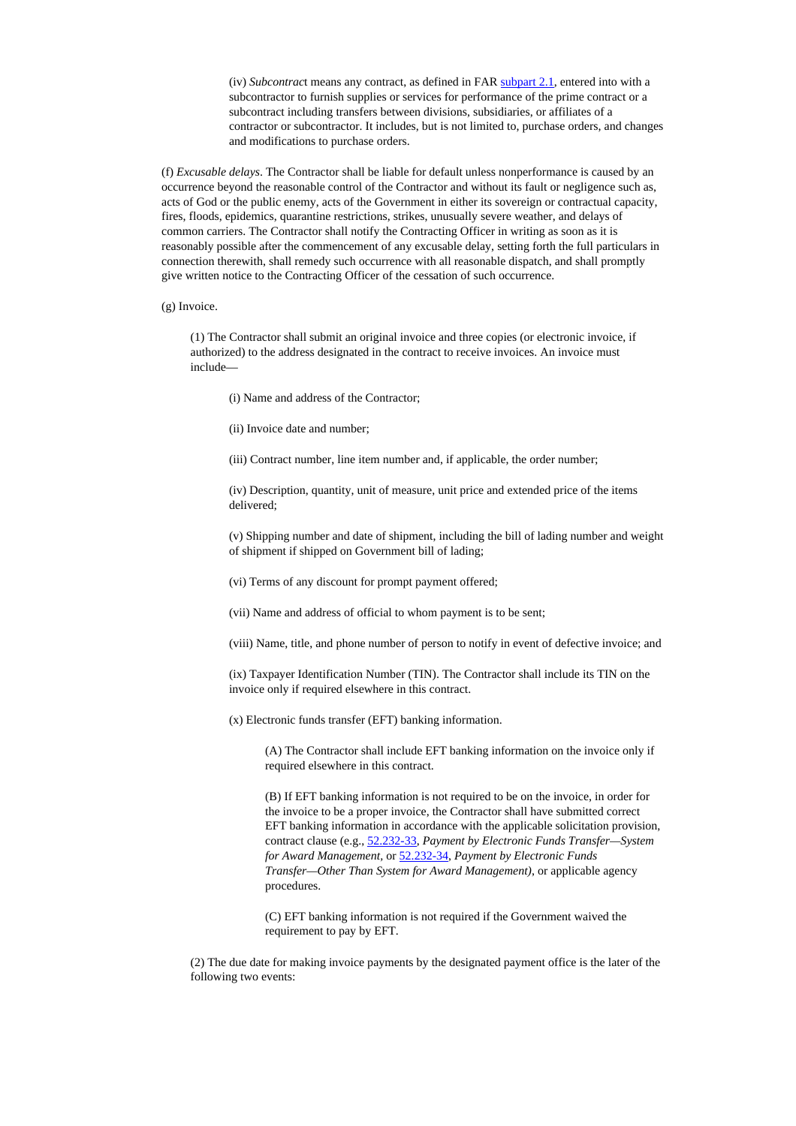(iv) *Subcontrac*t means any contract, as defined in FAR [subpart](https://www.acquisition.gov/far/html/Subpart%202_1.html#wp1145507) 2.1, entered into with a subcontractor to furnish supplies or services for performance of the prime contract or a subcontract including transfers between divisions, subsidiaries, or affiliates of a contractor or subcontractor. It includes, but is not limited to, purchase orders, and changes and modifications to purchase orders.

(f) *Excusable delays*. The Contractor shall be liable for default unless nonperformance is caused by an occurrence beyond the reasonable control of the Contractor and without its fault or negligence such as, acts of God or the public enemy, acts of the Government in either its sovereign or contractual capacity, fires, floods, epidemics, quarantine restrictions, strikes, unusually severe weather, and delays of common carriers. The Contractor shall notify the Contracting Officer in writing as soon as it is reasonably possible after the commencement of any excusable delay, setting forth the full particulars in connection therewith, shall remedy such occurrence with all reasonable dispatch, and shall promptly give written notice to the Contracting Officer of the cessation of such occurrence.

### (g) Invoice.

(1) The Contractor shall submit an original invoice and three copies (or electronic invoice, if authorized) to the address designated in the contract to receive invoices. An invoice must include—

(i) Name and address of the Contractor;

(ii) Invoice date and number;

(iii) Contract number, line item number and, if applicable, the order number;

(iv) Description, quantity, unit of measure, unit price and extended price of the items delivered;

(v) Shipping number and date of shipment, including the bill of lading number and weight of shipment if shipped on Government bill of lading;

(vi) Terms of any discount for prompt payment offered;

(vii) Name and address of official to whom payment is to be sent;

(viii) Name, title, and phone number of person to notify in event of defective invoice; and

(ix) Taxpayer Identification Number (TIN). The Contractor shall include its TIN on the invoice only if required elsewhere in this contract.

(x) Electronic funds transfer (EFT) banking information.

(A) The Contractor shall include EFT banking information on the invoice only if required elsewhere in this contract.

(B) If EFT banking information is not required to be on the invoice, in order for the invoice to be a proper invoice, the Contractor shall have submitted correct EFT banking information in accordance with the applicable solicitation provision, contract clause (e.g., [52.232-33](https://www.acquisition.gov/far/html/52_232.html#wp1153351), *Payment by Electronic Funds Transfer—System for Award Management,* or [52.232-34](https://www.acquisition.gov/far/html/52_232.html#wp1153375), *Payment by Electronic Funds Transfer—Other Than System for Award Management)*, or applicable agency procedures.

(C) EFT banking information is not required if the Government waived the requirement to pay by EFT.

(2) The due date for making invoice payments by the designated payment office is the later of the following two events: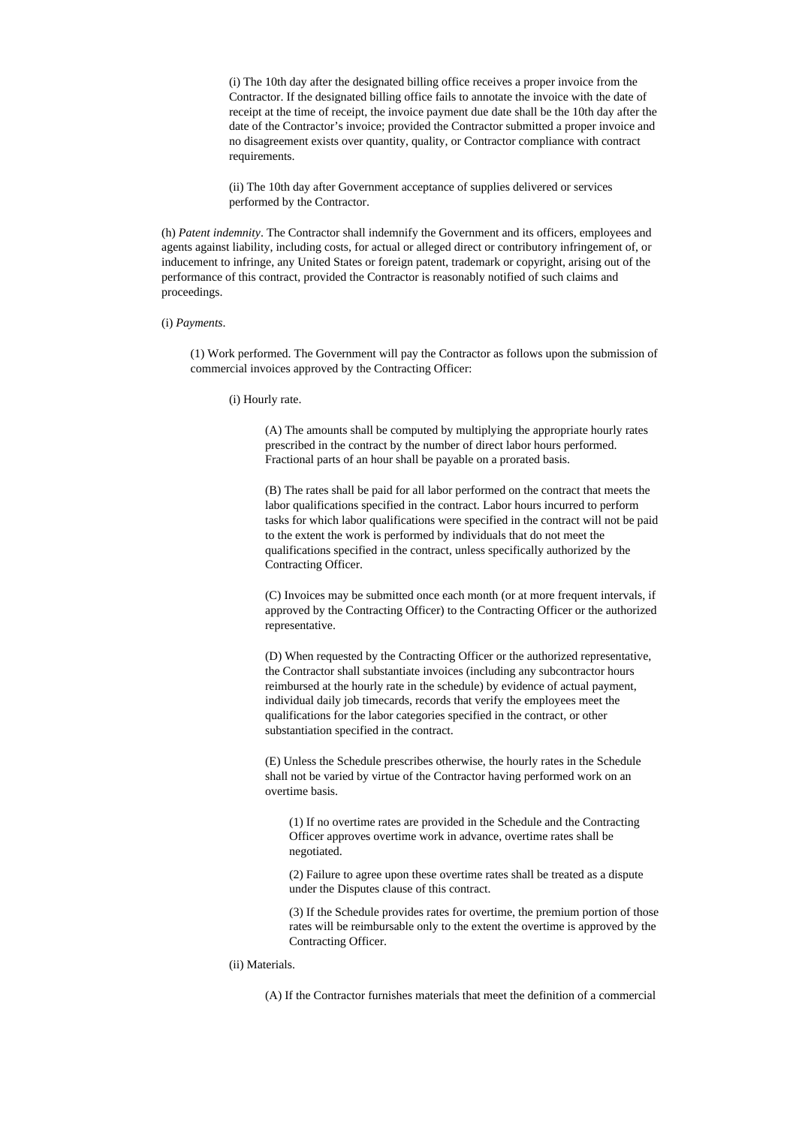(i) The 10th day after the designated billing office receives a proper invoice from the Contractor. If the designated billing office fails to annotate the invoice with the date of receipt at the time of receipt, the invoice payment due date shall be the 10th day after the date of the Contractor's invoice; provided the Contractor submitted a proper invoice and no disagreement exists over quantity, quality, or Contractor compliance with contract requirements.

(ii) The 10th day after Government acceptance of supplies delivered or services performed by the Contractor.

(h) *Patent indemnity*. The Contractor shall indemnify the Government and its officers, employees and agents against liability, including costs, for actual or alleged direct or contributory infringement of, or inducement to infringe, any United States or foreign patent, trademark or copyright, arising out of the performance of this contract, provided the Contractor is reasonably notified of such claims and proceedings.

# (i) *Payments*.

(1) Work performed. The Government will pay the Contractor as follows upon the submission of commercial invoices approved by the Contracting Officer:

(i) Hourly rate.

(A) The amounts shall be computed by multiplying the appropriate hourly rates prescribed in the contract by the number of direct labor hours performed. Fractional parts of an hour shall be payable on a prorated basis.

(B) The rates shall be paid for all labor performed on the contract that meets the labor qualifications specified in the contract. Labor hours incurred to perform tasks for which labor qualifications were specified in the contract will not be paid to the extent the work is performed by individuals that do not meet the qualifications specified in the contract, unless specifically authorized by the Contracting Officer.

(C) Invoices may be submitted once each month (or at more frequent intervals, if approved by the Contracting Officer) to the Contracting Officer or the authorized representative.

(D) When requested by the Contracting Officer or the authorized representative, the Contractor shall substantiate invoices (including any subcontractor hours reimbursed at the hourly rate in the schedule) by evidence of actual payment, individual daily job timecards, records that verify the employees meet the qualifications for the labor categories specified in the contract, or other substantiation specified in the contract.

(E) Unless the Schedule prescribes otherwise, the hourly rates in the Schedule shall not be varied by virtue of the Contractor having performed work on an overtime basis.

(1) If no overtime rates are provided in the Schedule and the Contracting Officer approves overtime work in advance, overtime rates shall be negotiated.

(2) Failure to agree upon these overtime rates shall be treated as a dispute under the Disputes clause of this contract.

(3) If the Schedule provides rates for overtime, the premium portion of those rates will be reimbursable only to the extent the overtime is approved by the Contracting Officer.

### (ii) Materials.

(A) If the Contractor furnishes materials that meet the definition of a commercial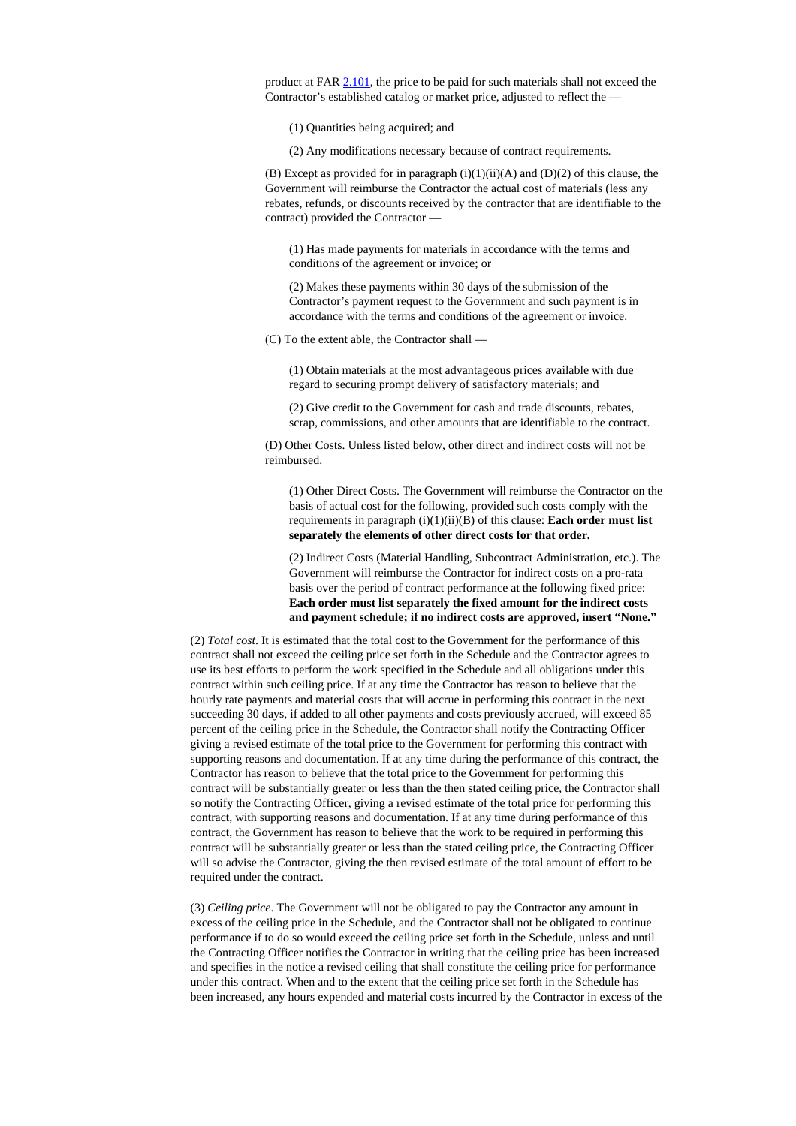product at FAR [2.101,](https://www.acquisition.gov/far/html/Subpart%202_1.html#wp1145508) the price to be paid for such materials shall not exceed the Contractor's established catalog or market price, adjusted to reflect the —

(1) Quantities being acquired; and

(2) Any modifications necessary because of contract requirements.

(B) Except as provided for in paragraph  $(i)(1)(ii)(A)$  and  $(D)(2)$  of this clause, the Government will reimburse the Contractor the actual cost of materials (less any rebates, refunds, or discounts received by the contractor that are identifiable to the contract) provided the Contractor —

(1) Has made payments for materials in accordance with the terms and conditions of the agreement or invoice; or

(2) Makes these payments within 30 days of the submission of the Contractor's payment request to the Government and such payment is in accordance with the terms and conditions of the agreement or invoice.

(C) To the extent able, the Contractor shall —

(1) Obtain materials at the most advantageous prices available with due regard to securing prompt delivery of satisfactory materials; and

(2) Give credit to the Government for cash and trade discounts, rebates, scrap, commissions, and other amounts that are identifiable to the contract.

(D) Other Costs. Unless listed below, other direct and indirect costs will not be reimbursed.

(1) Other Direct Costs. The Government will reimburse the Contractor on the basis of actual cost for the following, provided such costs comply with the requirements in paragraph (i)(1)(ii)(B) of this clause: **Each order must list separately the elements of other direct costs for that order.**

(2) Indirect Costs (Material Handling, Subcontract Administration, etc.). The Government will reimburse the Contractor for indirect costs on a pro-rata basis over the period of contract performance at the following fixed price: **Each order must list separately the fixed amount for the indirect costs and payment schedule; if no indirect costs are approved, insert "None."**

(2) *Total cost*. It is estimated that the total cost to the Government for the performance of this contract shall not exceed the ceiling price set forth in the Schedule and the Contractor agrees to use its best efforts to perform the work specified in the Schedule and all obligations under this contract within such ceiling price. If at any time the Contractor has reason to believe that the hourly rate payments and material costs that will accrue in performing this contract in the next succeeding 30 days, if added to all other payments and costs previously accrued, will exceed 85 percent of the ceiling price in the Schedule, the Contractor shall notify the Contracting Officer giving a revised estimate of the total price to the Government for performing this contract with supporting reasons and documentation. If at any time during the performance of this contract, the Contractor has reason to believe that the total price to the Government for performing this contract will be substantially greater or less than the then stated ceiling price, the Contractor shall so notify the Contracting Officer, giving a revised estimate of the total price for performing this contract, with supporting reasons and documentation. If at any time during performance of this contract, the Government has reason to believe that the work to be required in performing this contract will be substantially greater or less than the stated ceiling price, the Contracting Officer will so advise the Contractor, giving the then revised estimate of the total amount of effort to be required under the contract.

(3) *Ceiling price*. The Government will not be obligated to pay the Contractor any amount in excess of the ceiling price in the Schedule, and the Contractor shall not be obligated to continue performance if to do so would exceed the ceiling price set forth in the Schedule, unless and until the Contracting Officer notifies the Contractor in writing that the ceiling price has been increased and specifies in the notice a revised ceiling that shall constitute the ceiling price for performance under this contract. When and to the extent that the ceiling price set forth in the Schedule has been increased, any hours expended and material costs incurred by the Contractor in excess of the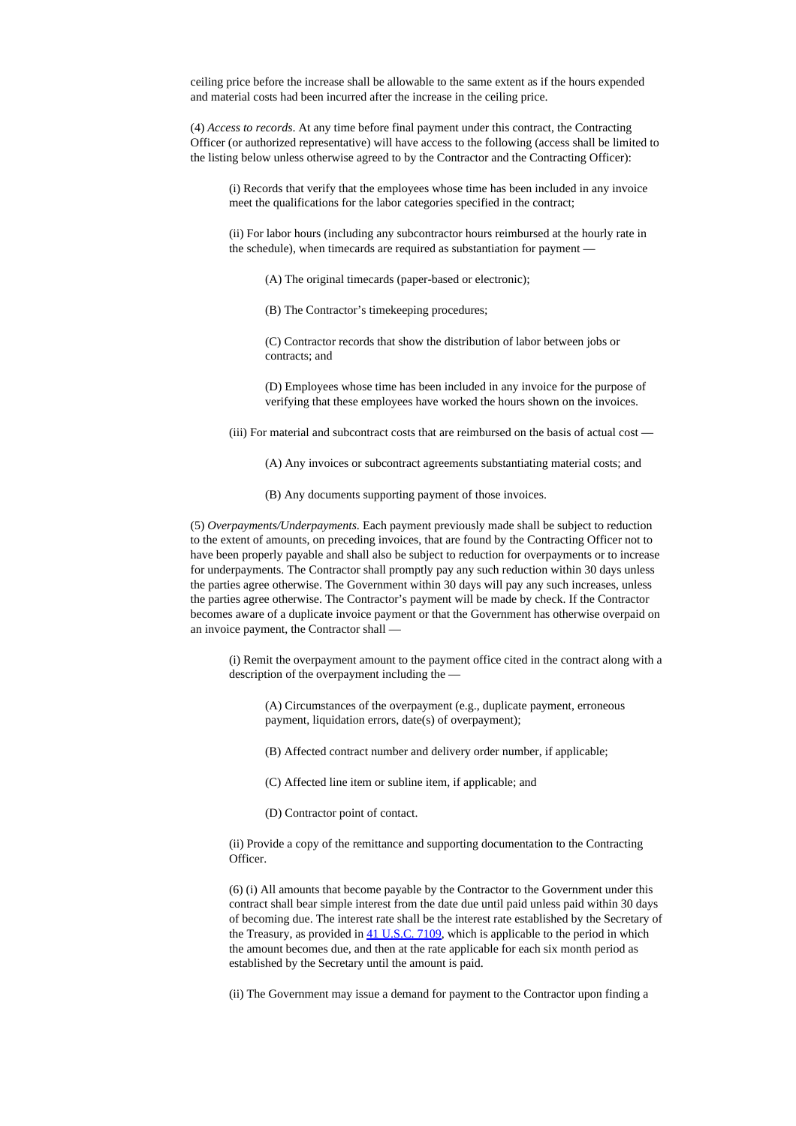ceiling price before the increase shall be allowable to the same extent as if the hours expended and material costs had been incurred after the increase in the ceiling price.

(4) *Access to records*. At any time before final payment under this contract, the Contracting Officer (or authorized representative) will have access to the following (access shall be limited to the listing below unless otherwise agreed to by the Contractor and the Contracting Officer):

(i) Records that verify that the employees whose time has been included in any invoice meet the qualifications for the labor categories specified in the contract;

(ii) For labor hours (including any subcontractor hours reimbursed at the hourly rate in the schedule), when timecards are required as substantiation for payment —

(A) The original timecards (paper-based or electronic);

(B) The Contractor's timekeeping procedures;

(C) Contractor records that show the distribution of labor between jobs or contracts; and

(D) Employees whose time has been included in any invoice for the purpose of verifying that these employees have worked the hours shown on the invoices.

(iii) For material and subcontract costs that are reimbursed on the basis of actual cost —

(A) Any invoices or subcontract agreements substantiating material costs; and

(B) Any documents supporting payment of those invoices.

(5) *Overpayments/Underpayments*. Each payment previously made shall be subject to reduction to the extent of amounts, on preceding invoices, that are found by the Contracting Officer not to have been properly payable and shall also be subject to reduction for overpayments or to increase for underpayments. The Contractor shall promptly pay any such reduction within 30 days unless the parties agree otherwise. The Government within 30 days will pay any such increases, unless the parties agree otherwise. The Contractor's payment will be made by check. If the Contractor becomes aware of a duplicate invoice payment or that the Government has otherwise overpaid on an invoice payment, the Contractor shall —

(i) Remit the overpayment amount to the payment office cited in the contract along with a description of the overpayment including the —

(A) Circumstances of the overpayment (e.g., duplicate payment, erroneous payment, liquidation errors, date(s) of overpayment);

(B) Affected contract number and delivery order number, if applicable;

(C) Affected line item or subline item, if applicable; and

(D) Contractor point of contact.

(ii) Provide a copy of the remittance and supporting documentation to the Contracting Officer.

(6) (i) All amounts that become payable by the Contractor to the Government under this contract shall bear simple interest from the date due until paid unless paid within 30 days of becoming due. The interest rate shall be the interest rate established by the Secretary of the Treasury, as provided in 41 [U.S.C.](http://uscode.house.gov/) 7109, which is applicable to the period in which the amount becomes due, and then at the rate applicable for each six month period as established by the Secretary until the amount is paid.

(ii) The Government may issue a demand for payment to the Contractor upon finding a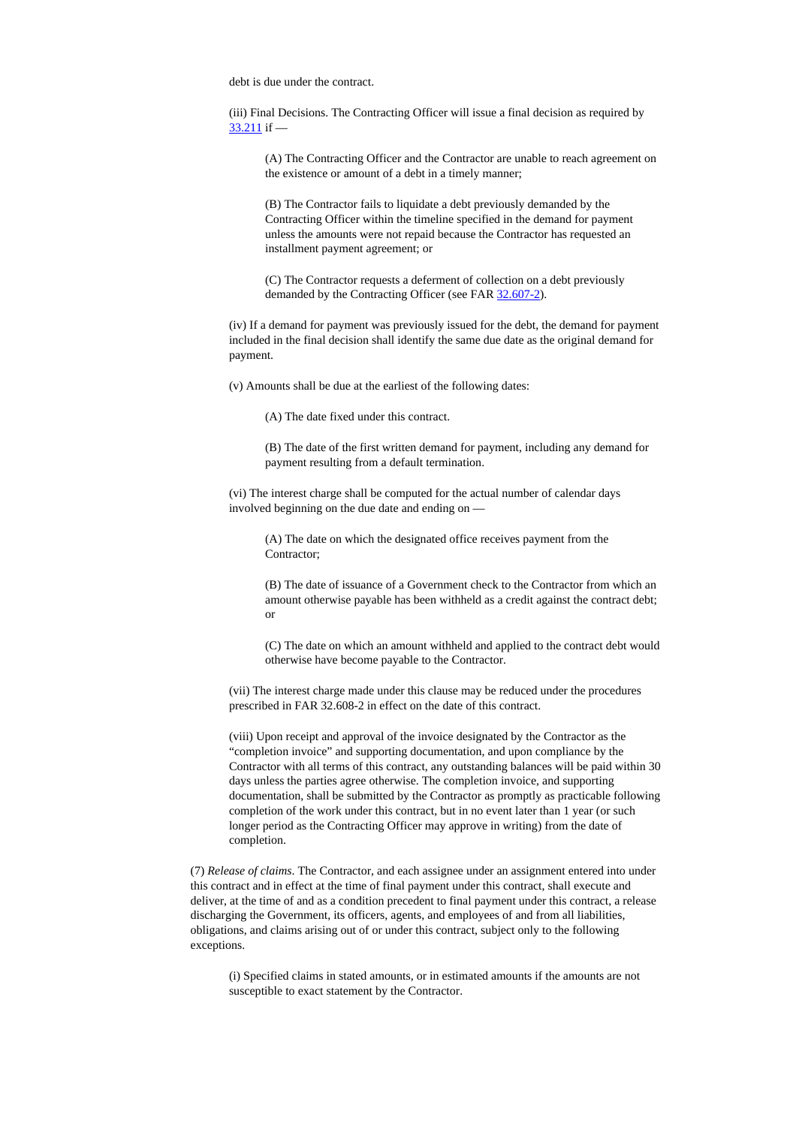debt is due under the contract.

(iii) Final Decisions. The Contracting Officer will issue a final decision as required by [33.211](https://www.acquisition.gov/far/html/Subpart%2033_2.html#wp1079912) if —

(A) The Contracting Officer and the Contractor are unable to reach agreement on the existence or amount of a debt in a timely manner;

(B) The Contractor fails to liquidate a debt previously demanded by the Contracting Officer within the timeline specified in the demand for payment unless the amounts were not repaid because the Contractor has requested an installment payment agreement; or

(C) The Contractor requests a deferment of collection on a debt previously demanded by the Contracting Officer (see FAR [32.607-2\)](https://www.acquisition.gov/far/html/Subpart%2032_6.html#wp1031290).

(iv) If a demand for payment was previously issued for the debt, the demand for payment included in the final decision shall identify the same due date as the original demand for payment.

(v) Amounts shall be due at the earliest of the following dates:

(A) The date fixed under this contract.

(B) The date of the first written demand for payment, including any demand for payment resulting from a default termination.

(vi) The interest charge shall be computed for the actual number of calendar days involved beginning on the due date and ending on —

(A) The date on which the designated office receives payment from the Contractor;

(B) The date of issuance of a Government check to the Contractor from which an amount otherwise payable has been withheld as a credit against the contract debt; or

(C) The date on which an amount withheld and applied to the contract debt would otherwise have become payable to the Contractor.

(vii) The interest charge made under this clause may be reduced under the procedures prescribed in FAR 32.608-2 in effect on the date of this contract.

(viii) Upon receipt and approval of the invoice designated by the Contractor as the "completion invoice" and supporting documentation, and upon compliance by the Contractor with all terms of this contract, any outstanding balances will be paid within 30 days unless the parties agree otherwise. The completion invoice, and supporting documentation, shall be submitted by the Contractor as promptly as practicable following completion of the work under this contract, but in no event later than 1 year (or such longer period as the Contracting Officer may approve in writing) from the date of completion.

(7) *Release of claims*. The Contractor, and each assignee under an assignment entered into under this contract and in effect at the time of final payment under this contract, shall execute and deliver, at the time of and as a condition precedent to final payment under this contract, a release discharging the Government, its officers, agents, and employees of and from all liabilities, obligations, and claims arising out of or under this contract, subject only to the following exceptions.

(i) Specified claims in stated amounts, or in estimated amounts if the amounts are not susceptible to exact statement by the Contractor.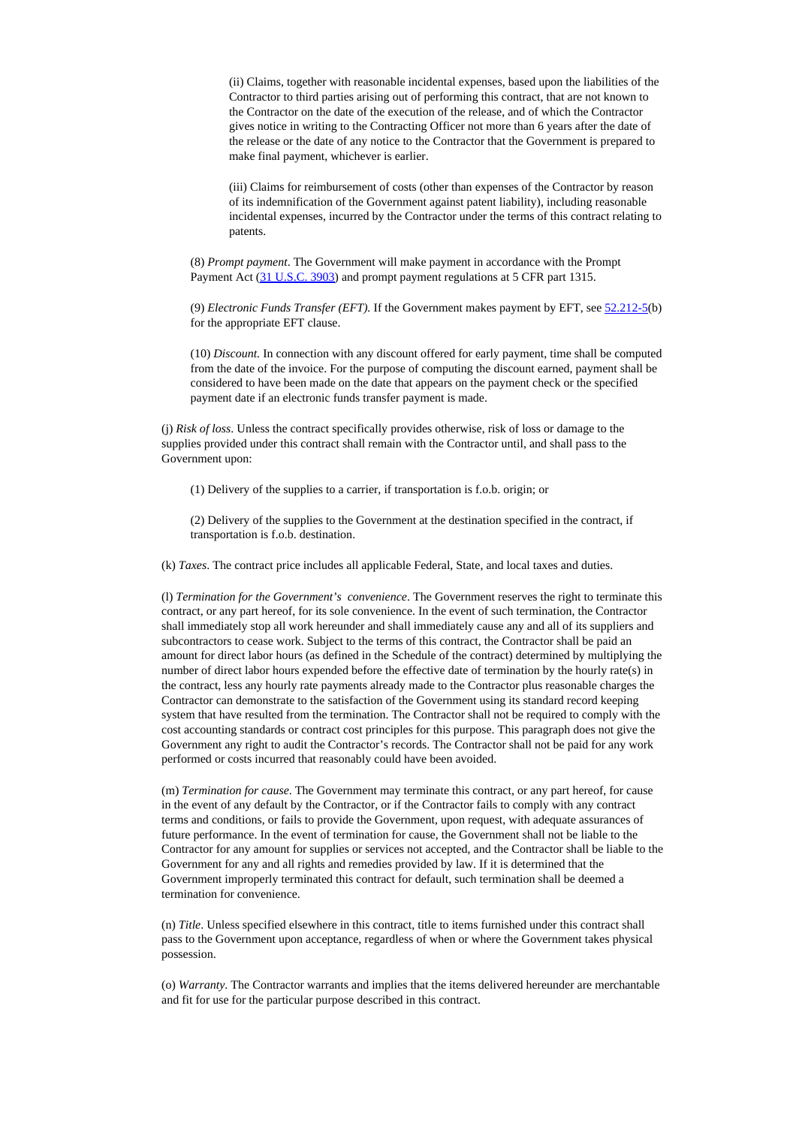(ii) Claims, together with reasonable incidental expenses, based upon the liabilities of the Contractor to third parties arising out of performing this contract, that are not known to the Contractor on the date of the execution of the release, and of which the Contractor gives notice in writing to the Contracting Officer not more than 6 years after the date of the release or the date of any notice to the Contractor that the Government is prepared to make final payment, whichever is earlier.

(iii) Claims for reimbursement of costs (other than expenses of the Contractor by reason of its indemnification of the Government against patent liability), including reasonable incidental expenses, incurred by the Contractor under the terms of this contract relating to patents.

(8) *Prompt payment*. The Government will make payment in accordance with the Prompt Payment Act (31 [U.S.C.](http://uscode.house.gov/uscode-cgi/fastweb.exe?getdoc+uscview+t29t32+1665+30++%2831%29%20%20AND%20%28%2831%29%20ADJ%20USC%29%3ACITE%20%20%20%20%20%20%20%20%20) 3903) and prompt payment regulations at 5 CFR part 1315.

(9) *Electronic Funds Transfer (EFT).* If the Government makes payment by EFT, see [52.212-5](https://www.acquisition.gov/far/html/52_212_213.html#wp1203358)(b) for the appropriate EFT clause.

(10) *Discount.* In connection with any discount offered for early payment, time shall be computed from the date of the invoice. For the purpose of computing the discount earned, payment shall be considered to have been made on the date that appears on the payment check or the specified payment date if an electronic funds transfer payment is made.

(j) *Risk of loss*. Unless the contract specifically provides otherwise, risk of loss or damage to the supplies provided under this contract shall remain with the Contractor until, and shall pass to the Government upon:

(1) Delivery of the supplies to a carrier, if transportation is f.o.b. origin; or

(2) Delivery of the supplies to the Government at the destination specified in the contract, if transportation is f.o.b. destination.

(k) *Taxes*. The contract price includes all applicable Federal, State, and local taxes and duties.

(l) *Termination for the Government's convenience*. The Government reserves the right to terminate this contract, or any part hereof, for its sole convenience. In the event of such termination, the Contractor shall immediately stop all work hereunder and shall immediately cause any and all of its suppliers and subcontractors to cease work. Subject to the terms of this contract, the Contractor shall be paid an amount for direct labor hours (as defined in the Schedule of the contract) determined by multiplying the number of direct labor hours expended before the effective date of termination by the hourly rate(s) in the contract, less any hourly rate payments already made to the Contractor plus reasonable charges the Contractor can demonstrate to the satisfaction of the Government using its standard record keeping system that have resulted from the termination. The Contractor shall not be required to comply with the cost accounting standards or contract cost principles for this purpose. This paragraph does not give the Government any right to audit the Contractor's records. The Contractor shall not be paid for any work performed or costs incurred that reasonably could have been avoided.

(m) *Termination for cause*. The Government may terminate this contract, or any part hereof, for cause in the event of any default by the Contractor, or if the Contractor fails to comply with any contract terms and conditions, or fails to provide the Government, upon request, with adequate assurances of future performance. In the event of termination for cause, the Government shall not be liable to the Contractor for any amount for supplies or services not accepted, and the Contractor shall be liable to the Government for any and all rights and remedies provided by law. If it is determined that the Government improperly terminated this contract for default, such termination shall be deemed a termination for convenience.

(n) *Title*. Unless specified elsewhere in this contract, title to items furnished under this contract shall pass to the Government upon acceptance, regardless of when or where the Government takes physical possession.

(o) *Warranty*. The Contractor warrants and implies that the items delivered hereunder are merchantable and fit for use for the particular purpose described in this contract.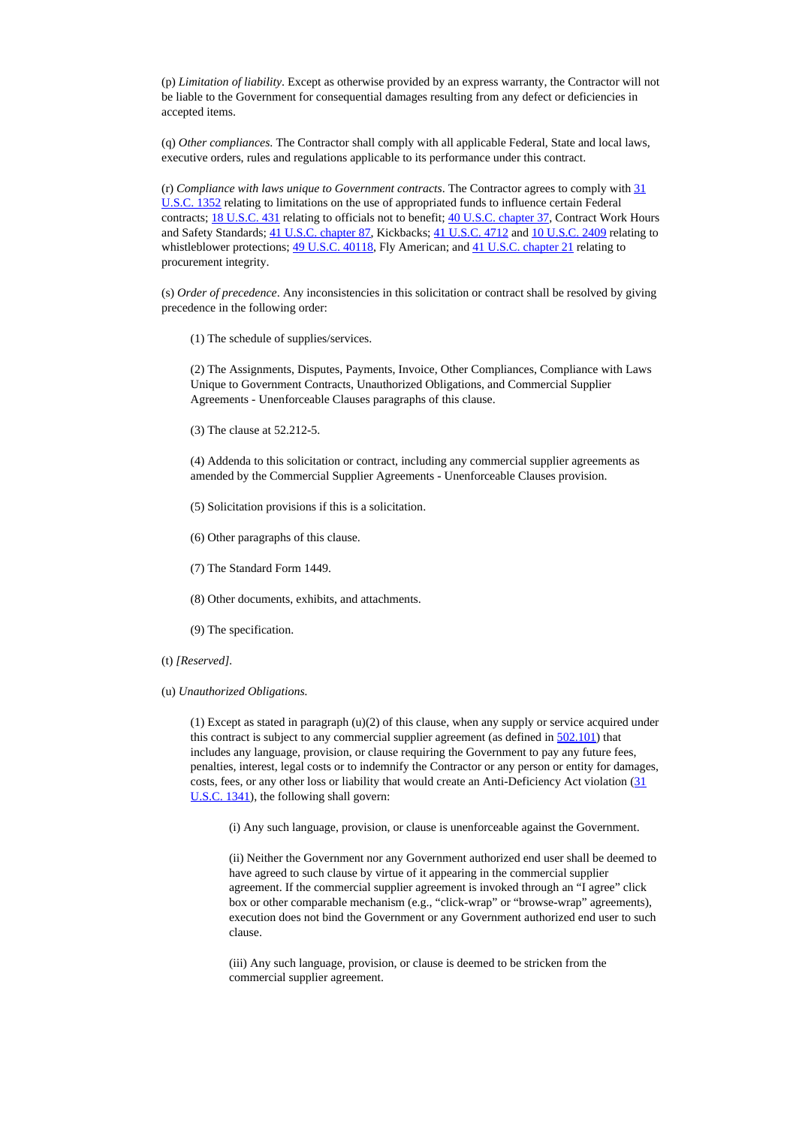(p) *Limitation of liability*. Except as otherwise provided by an express warranty, the Contractor will not be liable to the Government for consequential damages resulting from any defect or deficiencies in accepted items.

(q) *Other compliances*. The Contractor shall comply with all applicable Federal, State and local laws, executive orders, rules and regulations applicable to its performance under this contract.

(r) *Compliance with laws unique to Government contracts*. The Contractor agrees to comply with [31](http://uscode.house.gov/) [U.S.C.](http://uscode.house.gov/) 1352 relating to limitations on the use of appropriated funds to influence certain Federal contracts; 18 [U.S.C.](http://uscode.house.gov/) 431 relating to officials not to benefit; 40 U.S.C. [chapter](http://uscode.house.gov/) 37, Contract Work Hours and Safety Standards; 41 U.S.C. [chapter](http://uscode.house.gov/) 87, Kickbacks; 41 [U.S.C.](http://uscode.house.gov/) 4712 and 10 U.S.C. 2409 relating to whistleblower protections; 49 [U.S.C.](http://uscode.house.gov/) 40118, Fly American; and 41 U.S.C. [chapter](http://uscode.house.gov/) 21 relating to procurement integrity.

(s) *Order of precedence*. Any inconsistencies in this solicitation or contract shall be resolved by giving precedence in the following order:

(1) The schedule of supplies/services.

(2) The Assignments, Disputes, Payments, Invoice, Other Compliances, Compliance with Laws Unique to Government Contracts, Unauthorized Obligations, and Commercial Supplier Agreements - Unenforceable Clauses paragraphs of this clause.

(3) The clause at 52.212-5.

(4) Addenda to this solicitation or contract, including any commercial supplier agreements as amended by the Commercial Supplier Agreements - Unenforceable Clauses provision.

- (5) Solicitation provisions if this is a solicitation.
- (6) Other paragraphs of this clause.
- (7) The Standard Form 1449.
- (8) Other documents, exhibits, and attachments.
- (9) The specification.
- (t) *[Reserved].*
- (u) *Unauthorized Obligations.*

(1) Except as stated in paragraph (u)(2) of this clause, when any supply or service acquired under this contract is subject to any commercial supplier agreement (as defined in  $502.101$ ) that includes any language, provision, or clause requiring the Government to pay any future fees, penalties, interest, legal costs or to indemnify the Contractor or any person or entity for damages, costs, fees, or any other loss or liability that would create an Anti-Deficiency Act violation [\(31](http://uscode.house.gov/) [U.S.C.](http://uscode.house.gov/) 1341), the following shall govern:

(i) Any such language, provision, or clause is unenforceable against the Government.

(ii) Neither the Government nor any Government authorized end user shall be deemed to have agreed to such clause by virtue of it appearing in the commercial supplier agreement. If the commercial supplier agreement is invoked through an "I agree" click box or other comparable mechanism (e.g., "click-wrap" or "browse-wrap" agreements), execution does not bind the Government or any Government authorized end user to such clause.

(iii) Any such language, provision, or clause is deemed to be stricken from the commercial supplier agreement.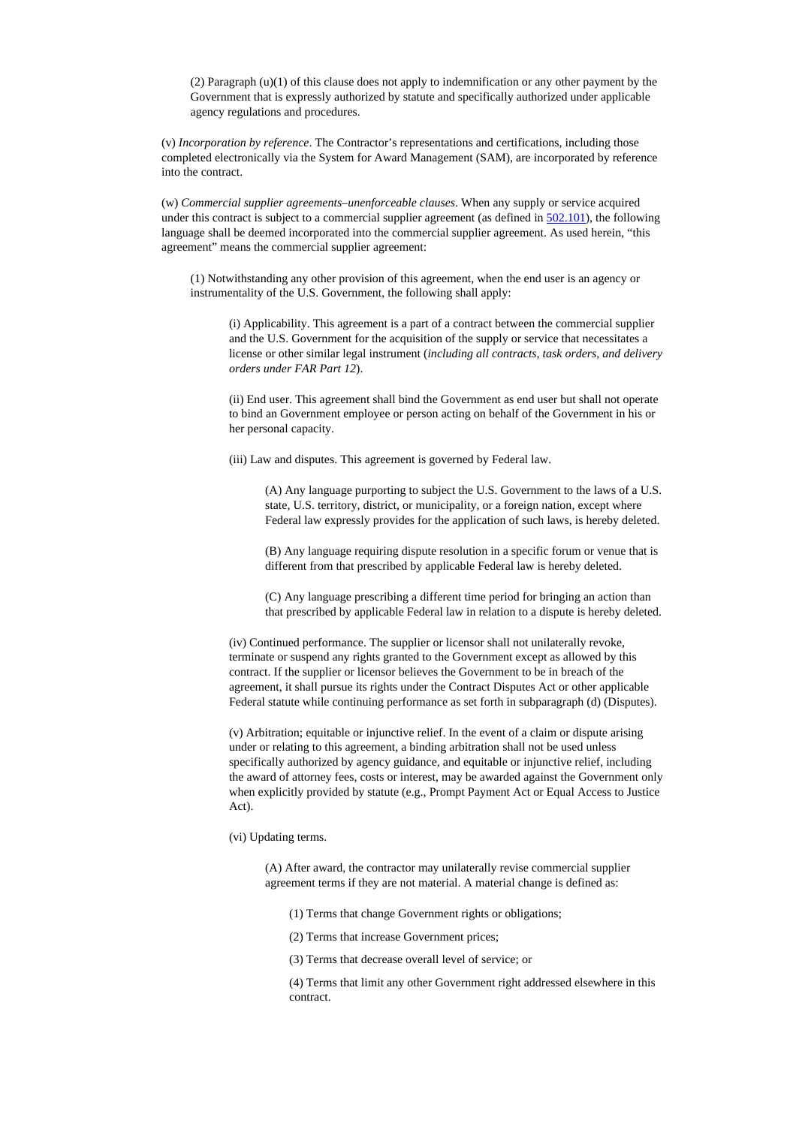(2) Paragraph  $(u)(1)$  of this clause does not apply to indemnification or any other payment by the Government that is expressly authorized by statute and specifically authorized under applicable agency regulations and procedures.

(v) *Incorporation by reference*. The Contractor's representations and certifications, including those completed electronically via the System for Award Management (SAM), are incorporated by reference into the contract.

(w) *Commercial supplier agreements–unenforceable clauses*. When any supply or service acquired under this contract is subject to a commercial supplier agreement (as defined in [502.101\)](https://www.acquisition.gov/gsam/current/html/Part502.html#wp1859928), the following language shall be deemed incorporated into the commercial supplier agreement. As used herein, "this agreement" means the commercial supplier agreement:

(1) Notwithstanding any other provision of this agreement, when the end user is an agency or instrumentality of the U.S. Government, the following shall apply:

(i) Applicability. This agreement is a part of a contract between the commercial supplier and the U.S. Government for the acquisition of the supply or service that necessitates a license or other similar legal instrument (*including all contracts, task orders, and delivery orders under FAR Part 12*).

(ii) End user. This agreement shall bind the Government as end user but shall not operate to bind an Government employee or person acting on behalf of the Government in his or her personal capacity.

(iii) Law and disputes. This agreement is governed by Federal law.

(A) Any language purporting to subject the U.S. Government to the laws of a U.S. state, U.S. territory, district, or municipality, or a foreign nation, except where Federal law expressly provides for the application of such laws, is hereby deleted.

(B) Any language requiring dispute resolution in a specific forum or venue that is different from that prescribed by applicable Federal law is hereby deleted.

(C) Any language prescribing a different time period for bringing an action than that prescribed by applicable Federal law in relation to a dispute is hereby deleted.

(iv) Continued performance. The supplier or licensor shall not unilaterally revoke, terminate or suspend any rights granted to the Government except as allowed by this contract. If the supplier or licensor believes the Government to be in breach of the agreement, it shall pursue its rights under the Contract Disputes Act or other applicable Federal statute while continuing performance as set forth in subparagraph (d) (Disputes).

(v) Arbitration; equitable or injunctive relief. In the event of a claim or dispute arising under or relating to this agreement, a binding arbitration shall not be used unless specifically authorized by agency guidance, and equitable or injunctive relief, including the award of attorney fees, costs or interest, may be awarded against the Government only when explicitly provided by statute (e.g., Prompt Payment Act or Equal Access to Justice Act).

(vi) Updating terms.

(A) After award, the contractor may unilaterally revise commercial supplier agreement terms if they are not material. A material change is defined as:

- (1) Terms that change Government rights or obligations;
- (2) Terms that increase Government prices;
- (3) Terms that decrease overall level of service; or

(4) Terms that limit any other Government right addressed elsewhere in this contract.